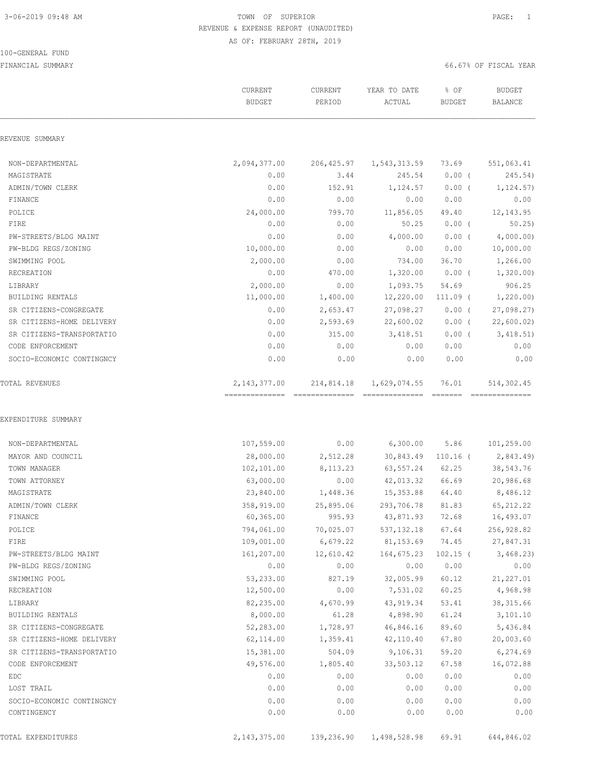#### 100-GENERAL FUND

|                           | CURRENT<br><b>BUDGET</b>                          | CURRENT<br>PERIOD | YEAR TO DATE<br>ACTUAL           | % OF<br><b>BUDGET</b> | <b>BUDGET</b><br><b>BALANCE</b> |
|---------------------------|---------------------------------------------------|-------------------|----------------------------------|-----------------------|---------------------------------|
| REVENUE SUMMARY           |                                                   |                   |                                  |                       |                                 |
| NON-DEPARTMENTAL          | 2,094,377.00                                      | 206,425.97        | 1,543,313.59                     | 73.69                 | 551,063.41                      |
| MAGISTRATE                | 0.00                                              | 3.44              | 245.54                           | $0.00$ (              | 245.54)                         |
| ADMIN/TOWN CLERK          | 0.00                                              | 152.91            | 1,124.57                         | $0.00$ (              | 1,124.57)                       |
| FINANCE                   | 0.00                                              | 0.00              | 0.00                             | 0.00                  | 0.00                            |
| POLICE                    | 24,000.00                                         | 799.70            | 11,856.05                        | 49.40                 | 12, 143.95                      |
| FIRE                      | 0.00                                              | 0.00              | 50.25                            | $0.00$ (              | 50.25                           |
| PW-STREETS/BLDG MAINT     | 0.00                                              | 0.00              | 4,000.00                         | $0.00$ (              | 4,000.00)                       |
| PW-BLDG REGS/ZONING       | 10,000.00                                         | 0.00              | 0.00                             | 0.00                  | 10,000.00                       |
| SWIMMING POOL             | 2,000.00                                          | 0.00              | 734.00                           | 36.70                 | 1,266.00                        |
| RECREATION                | 0.00                                              | 470.00            | 1,320.00                         | $0.00$ (              | 1,320.00                        |
| LIBRARY                   | 2,000.00                                          | 0.00              | 1,093.75                         | 54.69                 | 906.25                          |
| <b>BUILDING RENTALS</b>   | 11,000.00                                         | 1,400.00          | 12,220.00                        | $111.09$ (            | 1,220.00                        |
| SR CITIZENS-CONGREGATE    | 0.00                                              | 2,653.47          | 27,098.27                        | $0.00$ (              | 27,098.27                       |
| SR CITIZENS-HOME DELIVERY | 0.00                                              | 2,593.69          | 22,600.02                        | $0.00$ (              | 22,600.02                       |
| SR CITIZENS-TRANSPORTATIO | 0.00                                              | 315.00            | 3,418.51                         | $0.00$ (              | 3,418.51)                       |
| CODE ENFORCEMENT          | 0.00                                              | 0.00              | 0.00                             | 0.00                  | 0.00                            |
| SOCIO-ECONOMIC CONTINGNCY | 0.00                                              | 0.00              | 0.00                             | 0.00                  | 0.00                            |
| TOTAL REVENUES            | 2, 143, 377.00<br>--------------- --------------- | 214,814.18        | 1,629,074.55<br>________________ | 76.01<br>eeeeee       | 514,302.45<br>==============    |
| EXPENDITURE SUMMARY       |                                                   |                   |                                  |                       |                                 |
| NON-DEPARTMENTAL          | 107,559.00                                        | 0.00              | $6,300.00$ 5.86                  |                       | 101,259.00                      |
| MAYOR AND COUNCIL         | 28,000.00                                         | 2,512.28          |                                  | 30,843.49 110.16 (    | 2,843.49)                       |
| TOWN MANAGER              | 102,101.00                                        | 8,113.23          | 63,557.24                        | 62.25                 | 38,543.76                       |
| TOWN ATTORNEY             | 63,000.00                                         | 0.00              | 42,013.32                        | 66.69                 | 20,986.68                       |
| MAGISTRATE                | 23,840.00                                         | 1,448.36          | 15,353.88                        | 64.40                 | 8,486.12                        |
| ADMIN/TOWN CLERK          | 358,919.00                                        | 25,895.06         | 293,706.78                       | 81.83                 | 65, 212.22                      |
| FINANCE                   | 60, 365.00                                        | 995.93            | 43,871.93                        | 72.68                 | 16,493.07                       |
| POLICE                    | 794,061.00                                        | 70,025.07         | 537, 132.18                      | 67.64                 | 256,928.82                      |
| FIRE                      | 109,001.00                                        | 6,679.22          | 81,153.69                        | 74.45                 | 27,847.31                       |
| PW-STREETS/BLDG MAINT     | 161,207.00                                        | 12,610.42         | 164,675.23                       | $102.15$ (            | 3,468.23                        |
| PW-BLDG REGS/ZONING       | 0.00                                              | 0.00              | 0.00                             | 0.00                  | 0.00                            |
| SWIMMING POOL             | 53,233.00                                         | 827.19            | 32,005.99                        | 60.12                 | 21,227.01                       |
| RECREATION                | 12,500.00                                         | 0.00              | 7,531.02                         | 60.25                 | 4,968.98                        |
| LIBRARY                   | 82,235.00                                         | 4,670.99          | 43,919.34                        | 53.41                 | 38, 315.66                      |
| BUILDING RENTALS          | 8,000.00                                          | 61.28             | 4,898.90                         | 61.24                 | 3,101.10                        |
| SR CITIZENS-CONGREGATE    | 52,283.00                                         | 1,728.97          | 46,846.16                        | 89.60                 | 5,436.84                        |
| SR CITIZENS-HOME DELIVERY | 62,114.00                                         | 1,359.41          | 42,110.40                        | 67.80                 | 20,003.60                       |
| SR CITIZENS-TRANSPORTATIO | 15,381.00                                         | 504.09            | 9,106.31                         | 59.20                 | 6,274.69                        |
| CODE ENFORCEMENT          | 49,576.00                                         | 1,805.40          | 33,503.12                        | 67.58                 | 16,072.88                       |
| EDC                       | 0.00                                              | 0.00              | 0.00                             | 0.00                  | 0.00                            |
| LOST TRAIL                | 0.00                                              | 0.00              | 0.00                             | 0.00                  | 0.00                            |
| SOCIO-ECONOMIC CONTINGNCY | 0.00                                              | 0.00              | 0.00                             | 0.00                  | 0.00                            |
| CONTINGENCY               | 0.00                                              | 0.00              | 0.00                             | 0.00                  | 0.00                            |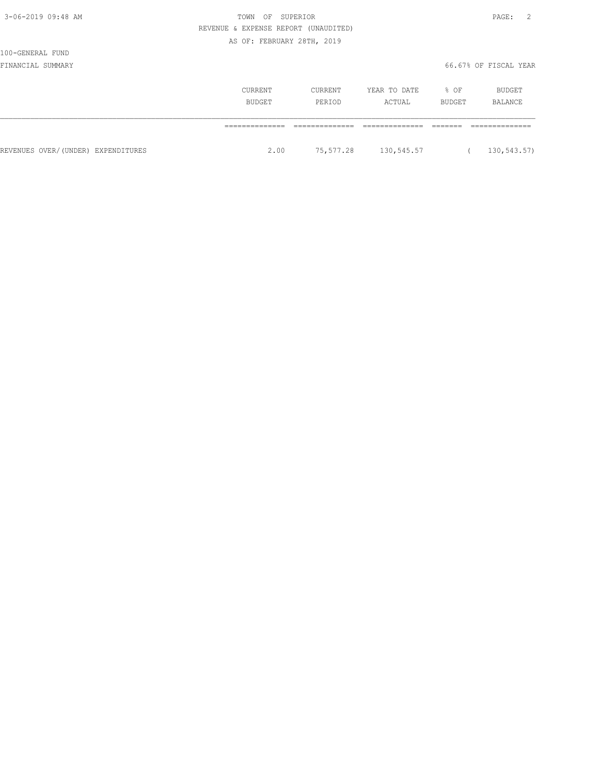| I<br>× |  |
|--------|--|
|--------|--|

# 3-06-2019 09:48 AM  $\overline{a}$  REVENUE & EXPENSE REPORT (UNAUDITED) AS OF: FEBRUARY 28TH, 2019

# 100-GENERAL FUND

|                                    | CURRENT<br>BUDGET | CURRENT<br>PERIOD | YEAR TO DATE<br>ACTUAL | % OF<br>BUDGET | BUDGET<br>BALANCE |
|------------------------------------|-------------------|-------------------|------------------------|----------------|-------------------|
|                                    |                   |                   |                        |                |                   |
| REVENUES OVER/(UNDER) EXPENDITURES | 2.00              | 75,577.28         | 130,545.57             |                | 130,543.57)       |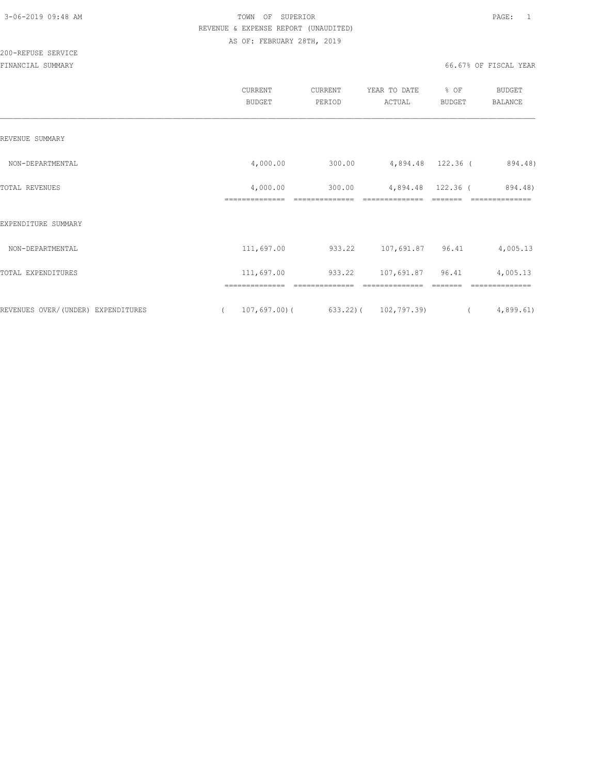|                                    | CURRENT<br><b>BUDGET</b>                     | CURRENT<br>PERIOD        | YEAR TO DATE<br>ACTUAL               | % OF<br>BUDGET | <b>BUDGET</b><br>BALANCE  |
|------------------------------------|----------------------------------------------|--------------------------|--------------------------------------|----------------|---------------------------|
| REVENUE SUMMARY                    |                                              |                          |                                      |                |                           |
| NON-DEPARTMENTAL                   | 4,000.00                                     | 300.00                   | 4,894.48 122.36 (                    |                | 894.48)                   |
| TOTAL REVENUES                     | 4,000.00<br>--------------                   | 300.00<br>-------------- | 4,894.48 122.36 (<br>--------------- |                | 894.48)<br>-------------- |
| EXPENDITURE SUMMARY                |                                              |                          |                                      |                |                           |
| NON-DEPARTMENTAL                   | 111,697.00                                   |                          | 933.22 107,691.87 96.41              |                | 4,005.13                  |
| TOTAL EXPENDITURES                 | 111,697.00                                   | 933.22 107,691.87 96.41  |                                      |                | 4,005.13                  |
| REVENUES OVER/(UNDER) EXPENDITURES | ==============<br>107,697.00)(<br>$\sqrt{2}$ |                          | $633.22$ ) ( $102,797.39$ ) (        |                | 4,899.61                  |
|                                    |                                              |                          |                                      |                |                           |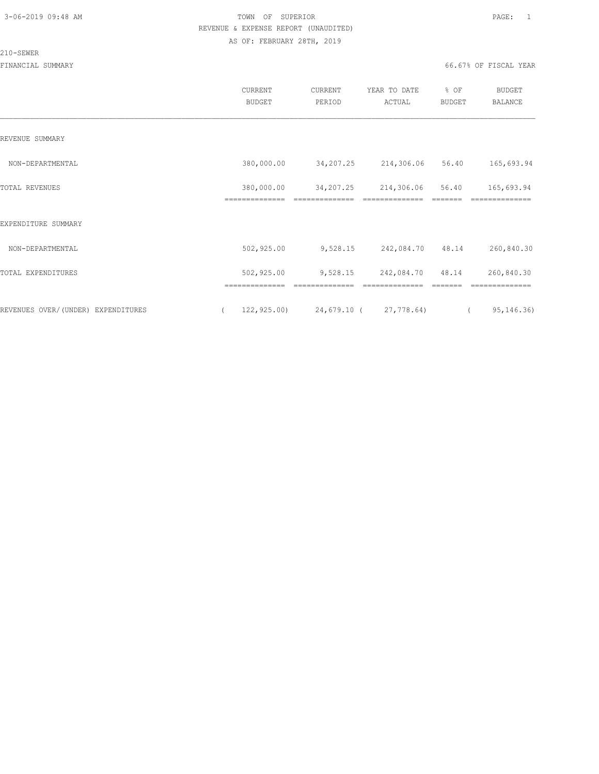#### 210-SEWER

|                                    | CURRENT<br><b>BUDGET</b>     | <b>CURRENT</b><br>PERIOD    | YEAR TO DATE<br>ACTUAL       | % OF<br><b>BUDGET</b> | BUDGET<br>BALANCE            |  |
|------------------------------------|------------------------------|-----------------------------|------------------------------|-----------------------|------------------------------|--|
| REVENUE SUMMARY                    |                              |                             |                              |                       |                              |  |
| NON-DEPARTMENTAL                   | 380,000.00                   | 34,207.25                   | 214,306.06                   | 56.40                 | 165,693.94                   |  |
| TOTAL REVENUES                     | 380,000.00<br>============== | 34,207.25<br>============== | 214,306.06<br>-------------- | 56.40                 | 165,693.94<br>============== |  |
| EXPENDITURE SUMMARY                |                              |                             |                              |                       |                              |  |
| NON-DEPARTMENTAL                   | 502,925.00                   | 9,528.15                    | 242,084.70 48.14             |                       | 260,840.30                   |  |
| TOTAL EXPENDITURES                 | 502,925.00                   | 9,528.15                    | 242,084.70                   | 48.14                 | 260,840.30                   |  |
|                                    |                              |                             |                              |                       |                              |  |
| REVENUES OVER/(UNDER) EXPENDITURES | 122, 925.00                  | 24,679.10 (27,778.64)       |                              |                       | 95, 146.36)<br>$\left($      |  |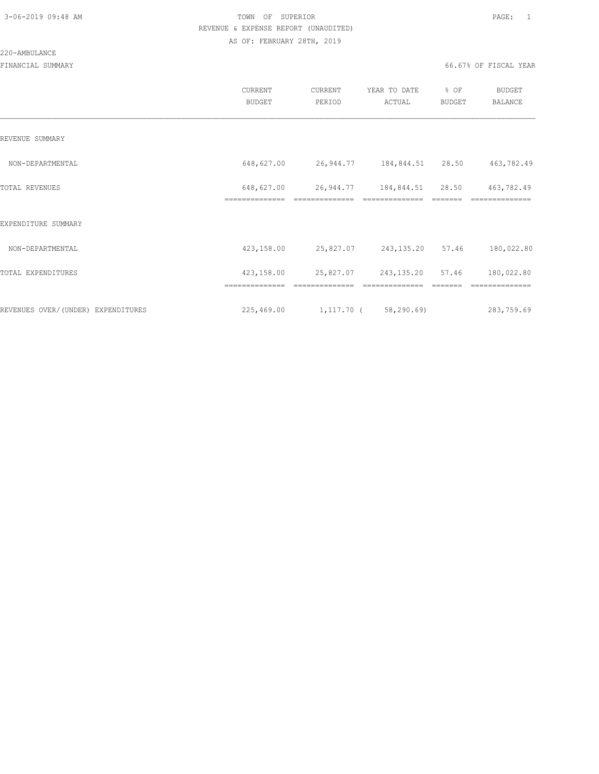#### 220-AMBULANCE

|                                    | CURRENT<br><b>BUDGET</b>     | CURRENT<br>PERIOD          | YEAR TO DATE<br>ACTUAL     | % OF<br>BUDGET | <b>BUDGET</b><br>BALANCE |
|------------------------------------|------------------------------|----------------------------|----------------------------|----------------|--------------------------|
| REVENUE SUMMARY                    |                              |                            |                            |                |                          |
| NON-DEPARTMENTAL                   | 648,627.00                   | 26,944.77 184,844.51 28.50 |                            |                | 463,782.49               |
| TOTAL REVENUES                     | 648,627.00<br>============== | 26,944.77 184,844.51 28.50 |                            |                | 463,782.49               |
| EXPENDITURE SUMMARY                |                              |                            |                            |                |                          |
| NON-DEPARTMENTAL                   | 423,158.00                   | 25,827.07 243,135.20 57.46 |                            |                | 180,022.80               |
| TOTAL EXPENDITURES                 | 423,158.00                   |                            | 25,827.07 243,135.20 57.46 |                | 180,022.80               |
|                                    | ==============               | ==============             | ==============             |                | ==============           |
| REVENUES OVER/(UNDER) EXPENDITURES | 225,469.00                   | $1,117.70$ (58,290.69)     |                            |                | 283,759.69               |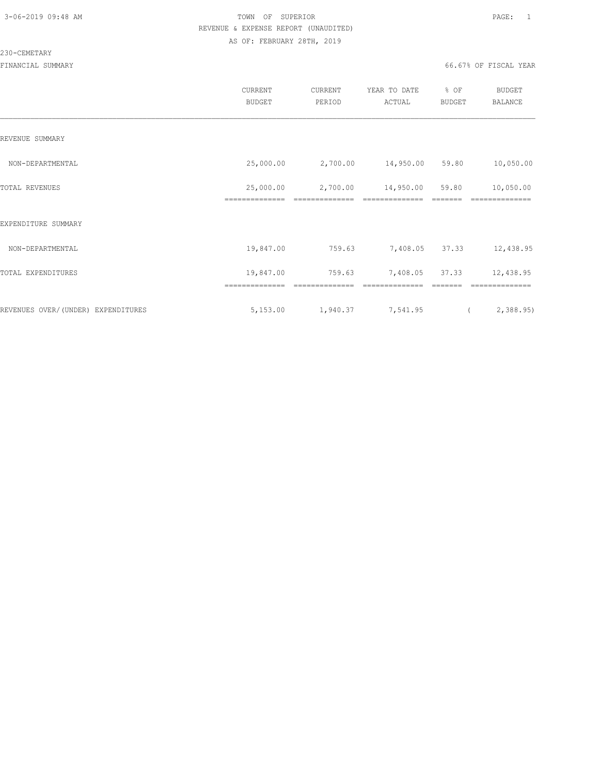#### 230-CEMETARY

|                                    | <b>CURRENT</b><br><b>BUDGET</b> | CURRENT<br>PERIOD | YEAR TO DATE<br>ACTUAL | % OF<br><b>BUDGET</b> | <b>BUDGET</b><br><b>BALANCE</b> |
|------------------------------------|---------------------------------|-------------------|------------------------|-----------------------|---------------------------------|
| REVENUE SUMMARY                    |                                 |                   |                        |                       |                                 |
| NON-DEPARTMENTAL                   | 25,000.00                       | 2,700.00          | 14,950.00 59.80        |                       | 10,050.00                       |
| TOTAL REVENUES                     | 25,000.00<br>--------------     | 2,700.00          | 14,950.00              | 59.80                 | 10,050.00                       |
| EXPENDITURE SUMMARY                |                                 |                   |                        |                       |                                 |
| NON-DEPARTMENTAL                   | 19,847.00                       | 759.63            | 7,408.05 37.33         |                       | 12,438.95                       |
| TOTAL EXPENDITURES                 | 19,847.00                       | 759.63            | 7,408.05               | 37.33                 | 12,438.95                       |
|                                    | ==============                  |                   |                        |                       |                                 |
| REVENUES OVER/(UNDER) EXPENDITURES | 5,153.00                        | 1,940.37          | 7,541.95               | $\left($              | 2,388.95                        |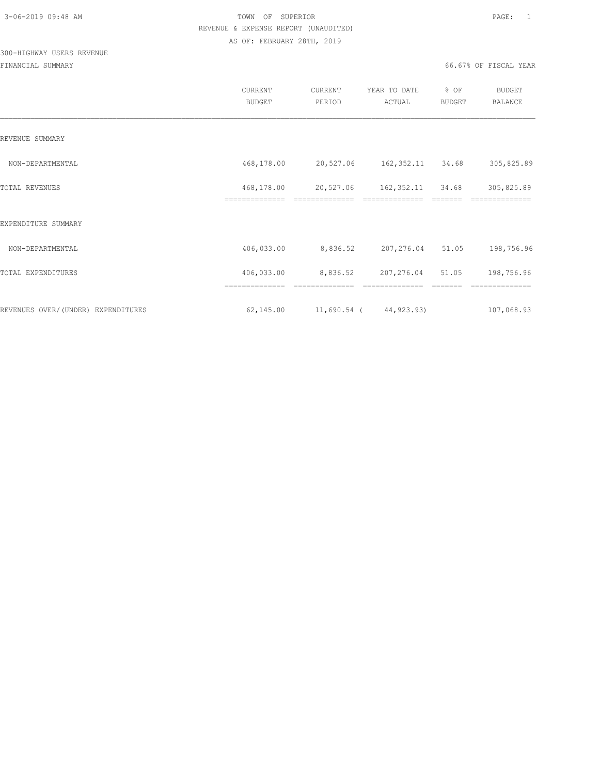# 300-HIGHWAY USERS REVENUE

|                                    | CURRENT<br><b>BUDGET</b>     | CURRENT<br>PERIOD           | YEAR TO DATE<br>ACTUAL        | % OF<br>BUDGET    | <b>BUDGET</b><br>BALANCE      |
|------------------------------------|------------------------------|-----------------------------|-------------------------------|-------------------|-------------------------------|
| REVENUE SUMMARY                    |                              |                             |                               |                   |                               |
| NON-DEPARTMENTAL                   | 468,178.00                   |                             | 20,527.06 162,352.11 34.68    |                   | 305,825.89                    |
| TOTAL REVENUES                     | 468,178.00<br>============== | 20,527.06<br>============== | 162,352.11<br>--------------- | 34.68<br>-------- | 305,825.89<br>--------------- |
| EXPENDITURE SUMMARY                |                              |                             |                               |                   |                               |
| NON-DEPARTMENTAL                   | 406,033.00                   | 8,836.52 207,276.04 51.05   |                               |                   | 198,756.96                    |
| TOTAL EXPENDITURES                 | 406,033.00                   | 8,836.52 207,276.04 51.05   |                               |                   | 198,756.96                    |
|                                    | ==============               | ==============              | ==============                |                   | ==============                |
| REVENUES OVER/(UNDER) EXPENDITURES | 62,145.00                    | 11,690.54 (44,923.93)       |                               |                   | 107,068.93                    |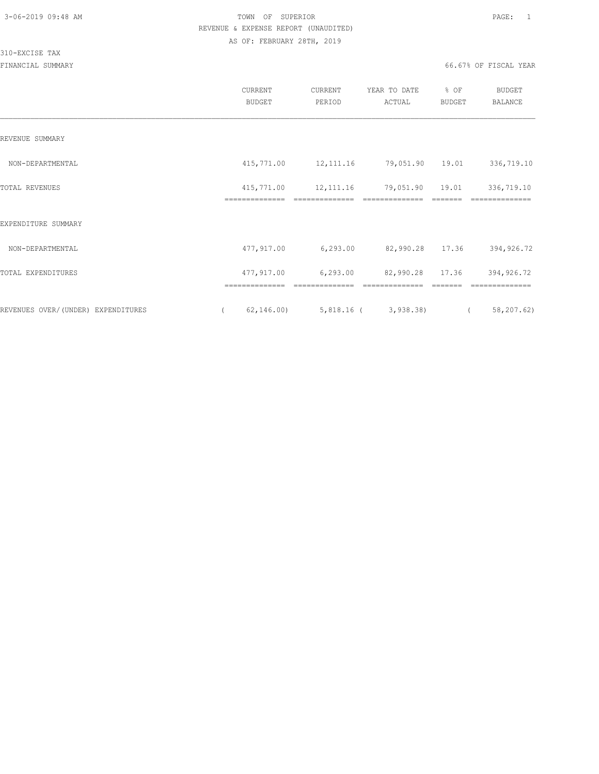### 310-EXCISE TAX

|                                    | CURRENT<br><b>BUDGET</b>                 | CURRENT<br>PERIOD | YEAR TO DATE<br>ACTUAL                 | % OF<br><b>BUDGET</b> | <b>BUDGET</b><br>BALANCE     |
|------------------------------------|------------------------------------------|-------------------|----------------------------------------|-----------------------|------------------------------|
| REVENUE SUMMARY                    |                                          |                   |                                        |                       |                              |
| NON-DEPARTMENTAL                   | 415,771.00                               | 12, 111.16        | 79,051.90 19.01                        |                       | 336,719.10                   |
| TOTAL REVENUES                     | 415,771.00<br>==============             | 12, 111.16        | 79,051.90                              | 19.01                 | 336,719.10                   |
| EXPENDITURE SUMMARY                |                                          |                   |                                        |                       |                              |
| NON-DEPARTMENTAL                   | 477,917.00                               | 6,293.00          | 82,990.28 17.36                        |                       | 394,926.72                   |
| TOTAL EXPENDITURES                 | 477,917.00                               | 6, 293.00         | 82,990.28                              | 17.36                 | 394,926.72                   |
| REVENUES OVER/(UNDER) EXPENDITURES | ==============<br>62, 146.00<br>$\left($ | ==============    | ==============<br>5,818.16 ( 3,938.38) | $\overline{a}$        | ==============<br>58,207.62) |
|                                    |                                          |                   |                                        |                       |                              |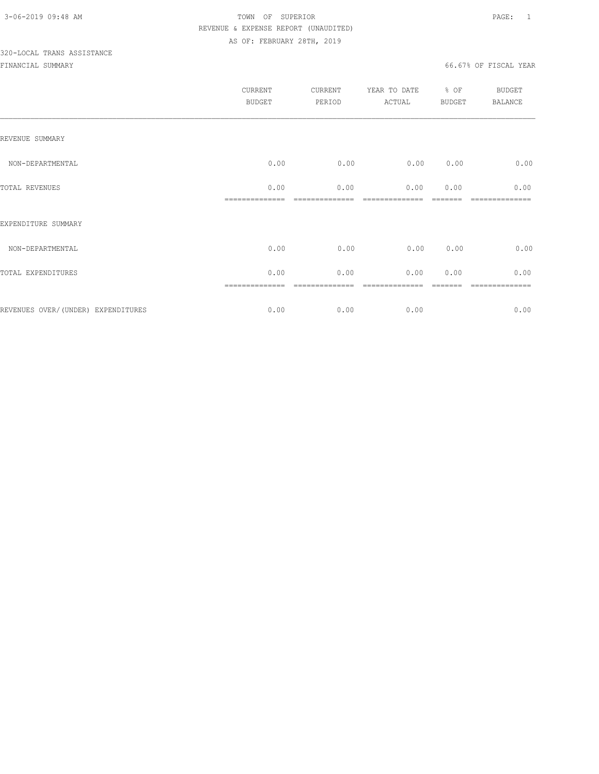# 320-LOCAL TRANS ASSISTANCE

|                                    | CURRENT<br><b>BUDGET</b> | CURRENT<br>PERIOD | YEAR TO DATE<br>ACTUAL | % OF<br>BUDGET | <b>BUDGET</b><br>BALANCE |
|------------------------------------|--------------------------|-------------------|------------------------|----------------|--------------------------|
| REVENUE SUMMARY                    |                          |                   |                        |                |                          |
| NON-DEPARTMENTAL                   | 0.00                     | 0.00              | 0.00                   | 0.00           | 0.00                     |
| TOTAL REVENUES                     | 0.00                     | 0.00              | 0.00                   | 0.00           | 0.00                     |
| EXPENDITURE SUMMARY                |                          |                   |                        |                |                          |
| NON-DEPARTMENTAL                   | 0.00                     | 0.00              | 0.00                   | 0.00           | 0.00                     |
| TOTAL EXPENDITURES                 | 0.00                     | 0.00              | 0.00                   | 0.00           | 0.00                     |
| REVENUES OVER/(UNDER) EXPENDITURES | 0.00                     | 0.00              | 0.00                   |                | 0.00                     |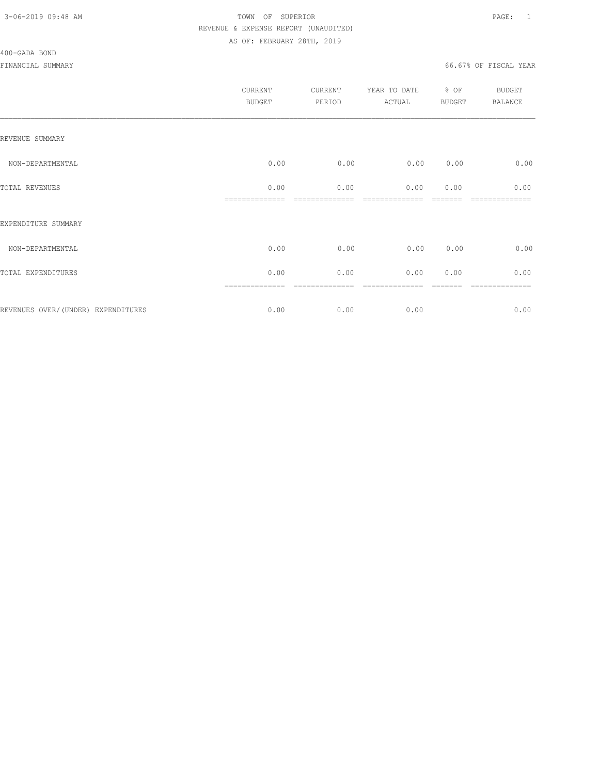#### 400-GADA BOND

|                                     | CURRENT<br><b>BUDGET</b> | CURRENT<br>PERIOD | YEAR TO DATE<br>ACTUAL | % OF<br><b>BUDGET</b> | <b>BUDGET</b><br><b>BALANCE</b> |
|-------------------------------------|--------------------------|-------------------|------------------------|-----------------------|---------------------------------|
| REVENUE SUMMARY                     |                          |                   |                        |                       |                                 |
| NON-DEPARTMENTAL                    | 0.00                     | 0.00              | 0.00                   | 0.00                  | 0.00                            |
| TOTAL REVENUES                      | 0.00                     | 0.00              | 0.00                   | 0.00                  | 0.00                            |
| EXPENDITURE SUMMARY                 |                          |                   |                        |                       |                                 |
| NON-DEPARTMENTAL                    | 0.00                     | 0.00              | 0.00                   | 0.00                  | 0.00                            |
| TOTAL EXPENDITURES                  | 0.00                     | 0.00              | 0.00                   | 0.00                  | 0.00                            |
|                                     |                          |                   |                        |                       | ========                        |
| REVENUES OVER/ (UNDER) EXPENDITURES | 0.00                     | 0.00              | 0.00                   |                       | 0.00                            |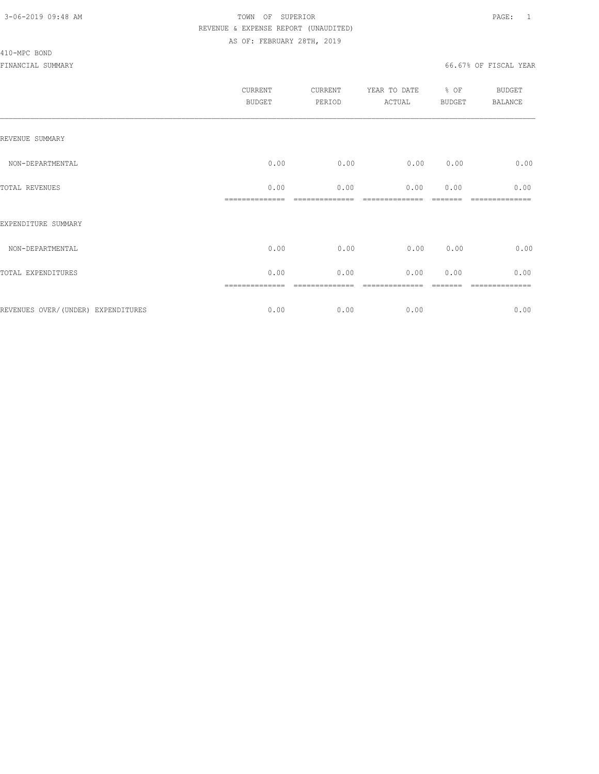#### 410-MPC BOND

|                                    | CURRENT<br><b>BUDGET</b> | CURRENT<br>PERIOD | YEAR TO DATE<br>ACTUAL | % OF<br>BUDGET | BUDGET<br><b>BALANCE</b> |
|------------------------------------|--------------------------|-------------------|------------------------|----------------|--------------------------|
| REVENUE SUMMARY                    |                          |                   |                        |                |                          |
| NON-DEPARTMENTAL                   | 0.00                     | 0.00              | 0.00                   | 0.00           | 0.00                     |
| TOTAL REVENUES                     | 0.00                     | 0.00              | 0.00                   | 0.00           | 0.00                     |
| EXPENDITURE SUMMARY                |                          |                   |                        |                |                          |
| NON-DEPARTMENTAL                   | 0.00                     | 0.00              | 0.00                   | 0.00           | 0.00                     |
| TOTAL EXPENDITURES                 | 0.00                     | 0.00              | 0.00                   | 0.00           | 0.00                     |
| REVENUES OVER/(UNDER) EXPENDITURES | ==============<br>0.00   | ========<br>0.00  | 0.00                   |                | --------<br>0.00         |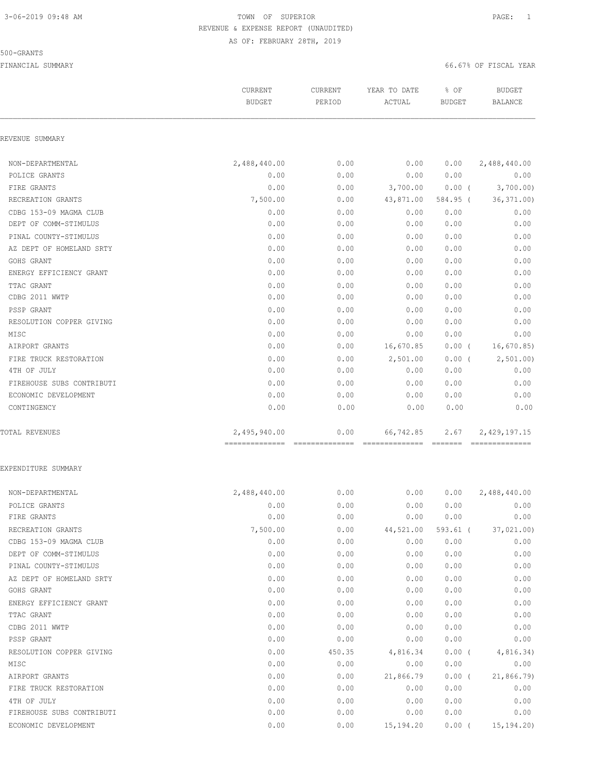### 500-GRANTS

|                           | CURRENT<br><b>BUDGET</b> | CURRENT<br>PERIOD | YEAR TO DATE<br>ACTUAL | % OF<br><b>BUDGET</b> | <b>BUDGET</b><br><b>BALANCE</b> |
|---------------------------|--------------------------|-------------------|------------------------|-----------------------|---------------------------------|
| REVENUE SUMMARY           |                          |                   |                        |                       |                                 |
| NON-DEPARTMENTAL          | 2,488,440.00             | 0.00              | 0.00                   | 0.00                  | 2,488,440.00                    |
| POLICE GRANTS             | 0.00                     | 0.00              | 0.00                   | 0.00                  | 0.00                            |
| FIRE GRANTS               | 0.00                     | 0.00              | 3,700.00               | $0.00$ (              | 3,700.00)                       |
| RECREATION GRANTS         | 7,500.00                 | 0.00              | 43,871.00              | 584.95 (              | 36, 371.00                      |
| CDBG 153-09 MAGMA CLUB    | 0.00                     | 0.00              | 0.00                   | 0.00                  | 0.00                            |
| DEPT OF COMM-STIMULUS     | 0.00                     | 0.00              | 0.00                   | 0.00                  | 0.00                            |
| PINAL COUNTY-STIMULUS     | 0.00                     | 0.00              | 0.00                   | 0.00                  | 0.00                            |
| AZ DEPT OF HOMELAND SRTY  | 0.00                     | 0.00              | 0.00                   | 0.00                  | 0.00                            |
| GOHS GRANT                | 0.00                     | 0.00              | 0.00                   | 0.00                  | 0.00                            |
| ENERGY EFFICIENCY GRANT   | 0.00                     | 0.00              | 0.00                   | 0.00                  | 0.00                            |
| TTAC GRANT                | 0.00                     | 0.00              | 0.00                   | 0.00                  | 0.00                            |
| CDBG 2011 WWTP            | 0.00                     | 0.00              | 0.00                   | 0.00                  | 0.00                            |
| PSSP GRANT                | 0.00                     | 0.00              | 0.00                   | 0.00                  | 0.00                            |
| RESOLUTION COPPER GIVING  | 0.00                     | 0.00              | 0.00                   | 0.00                  | 0.00                            |
| MISC                      | 0.00                     | 0.00              | 0.00                   | 0.00                  | 0.00                            |
| AIRPORT GRANTS            | 0.00                     | 0.00              | 16,670.85              | $0.00$ (              | 16,670.85                       |
| FIRE TRUCK RESTORATION    | 0.00                     | 0.00              | 2,501.00               | $0.00$ (              | 2,501.00                        |
| 4TH OF JULY               | 0.00                     | 0.00              | 0.00                   | 0.00                  | 0.00                            |
| FIREHOUSE SUBS CONTRIBUTI | 0.00                     | 0.00              | 0.00                   | 0.00                  | 0.00                            |
| ECONOMIC DEVELOPMENT      | 0.00                     | 0.00              | 0.00                   | 0.00                  | 0.00                            |
| CONTINGENCY               | 0.00                     | 0.00              | 0.00                   | 0.00                  | 0.00                            |
| TOTAL REVENUES            | 2,495,940.00             | 0.00              | 66,742.85              | 2.67                  | 2,429,197.15                    |
| EXPENDITURE SUMMARY       |                          |                   |                        |                       |                                 |
| NON-DEPARTMENTAL          | 2,488,440.00             | 0.00              | 0.00                   | 0.00                  | 2,488,440.00                    |
| POLICE GRANTS             | 0.00                     | 0.00              | 0.00                   | 0.00                  | 0.00                            |
| FIRE GRANTS               | 0.00                     | 0.00              | 0.00                   | 0.00                  | 0.00                            |
| RECREATION GRANTS         | 7,500.00                 | 0.00              | 44,521.00              | $593.61$ (            | 37,021.00                       |
| CDBG 153-09 MAGMA CLUB    | 0.00                     | 0.00              | 0.00                   | 0.00                  | 0.00                            |
| DEPT OF COMM-STIMULUS     | 0.00                     | 0.00              | 0.00                   | 0.00                  | 0.00                            |
| PINAL COUNTY-STIMULUS     | 0.00                     | 0.00              | 0.00                   | 0.00                  | 0.00                            |
| AZ DEPT OF HOMELAND SRTY  | 0.00                     | 0.00              | 0.00                   | 0.00                  | 0.00                            |
| GOHS GRANT                | 0.00                     | 0.00              | 0.00                   | 0.00                  | 0.00                            |
| ENERGY EFFICIENCY GRANT   | 0.00                     | 0.00              | 0.00                   | 0.00                  | 0.00                            |
| TTAC GRANT                | 0.00                     | 0.00              | 0.00                   | 0.00                  | 0.00                            |
| CDBG 2011 WWTP            | 0.00                     | 0.00              | 0.00                   | 0.00                  | 0.00                            |
| PSSP GRANT                | 0.00                     | 0.00              | 0.00                   | 0.00                  | 0.00                            |
| RESOLUTION COPPER GIVING  | 0.00                     | 450.35            | 4,816.34               | $0.00$ (              | 4,816.34)                       |
| MISC                      | 0.00                     | 0.00              | 0.00                   | 0.00                  | 0.00                            |
| AIRPORT GRANTS            | 0.00                     | 0.00              | 21,866.79              | $0.00$ (              | 21,866.79)                      |
| FIRE TRUCK RESTORATION    | 0.00                     | 0.00              | 0.00                   | 0.00                  | 0.00                            |
| 4TH OF JULY               | 0.00                     | 0.00              | 0.00                   | 0.00                  | 0.00                            |
| FIREHOUSE SUBS CONTRIBUTI | 0.00                     | 0.00              | 0.00                   | 0.00                  | 0.00                            |
| ECONOMIC DEVELOPMENT      | 0.00                     | 0.00              | 15, 194. 20            | 0.00(                 | 15, 194.20                      |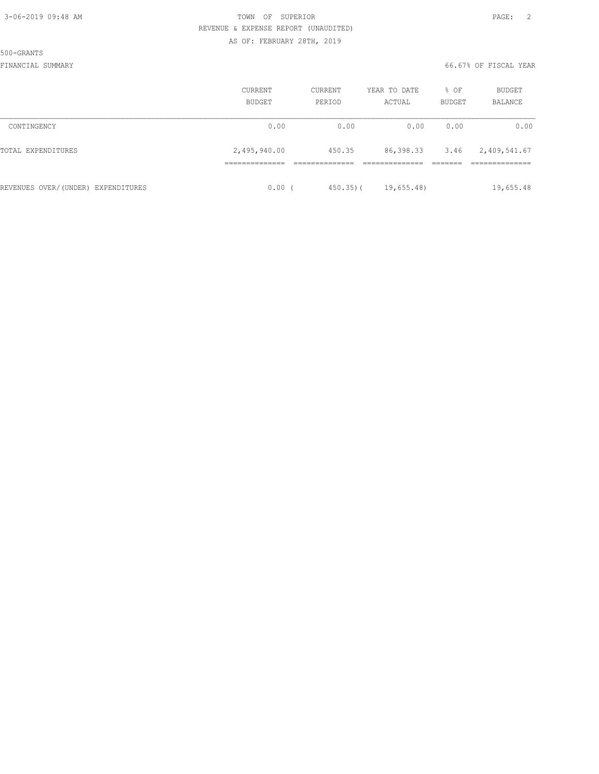500-GRANTS

|                                    | CURRENT<br><b>BUDGET</b> | <b>CURRENT</b><br>PERIOD | YEAR TO DATE<br>ACTUAL | % OF<br><b>BUDGET</b> | <b>BUDGET</b><br>BALANCE |
|------------------------------------|--------------------------|--------------------------|------------------------|-----------------------|--------------------------|
| CONTINGENCY                        | 0.00                     | 0.00                     | 0.00                   | 0.00                  | 0.00                     |
| TOTAL EXPENDITURES                 | 2,495,940.00             | 450.35                   | 86,398.33              | 3.46                  | 2,409,541.67             |
| REVENUES OVER/(UNDER) EXPENDITURES | 0.00(                    | $450.35$ ) (             | 19,655.48              |                       | 19,655.48                |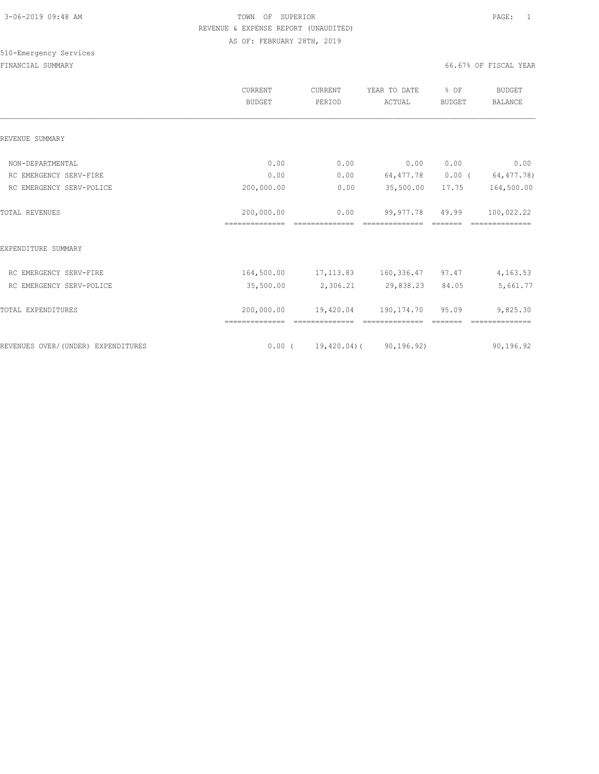|                                    | <b>CURRENT</b><br><b>BUDGET</b> | <b>CURRENT</b><br>PERIOD         | YEAR TO DATE<br>ACTUAL | % OF<br><b>BUDGET</b> | <b>BUDGET</b><br><b>BALANCE</b> |
|------------------------------------|---------------------------------|----------------------------------|------------------------|-----------------------|---------------------------------|
| REVENUE SUMMARY                    |                                 |                                  |                        |                       |                                 |
| NON-DEPARTMENTAL                   | 0.00                            | 0.00                             | 0.00                   | 0.00                  | 0.00                            |
| RC EMERGENCY SERV-FIRE             | 0.00                            | 0.00                             | 64,477.78              | $0.00$ (              | 64,477.78)                      |
| RC EMERGENCY SERV-POLICE           | 200,000.00                      | 0.00                             | 35,500.00              | 17.75                 | 164,500.00                      |
| <b>TOTAL REVENUES</b>              | 200,000.00<br>---------------   | 0.00                             | 99,977.78              | 49.99                 | 100,022.22                      |
| EXPENDITURE SUMMARY                |                                 |                                  |                        |                       |                                 |
| RC EMERGENCY SERV-FIRE             | 164,500.00                      |                                  | 17, 113.83 160, 336.47 | 97.47                 | 4, 163.53                       |
| RC EMERGENCY SERV-POLICE           | 35,500.00                       | 2,306.21                         | 29,838.23              | 84.05                 | 5,661.77                        |
| TOTAL EXPENDITURES                 | 200,000.00<br>==============    | 19,420.04                        | 190,174.70             | 95.09                 | 9,825.30                        |
| REVENUES OVER/(UNDER) EXPENDITURES |                                 | $0.00$ ( 19,420.04) ( 90,196.92) |                        |                       | 90,196.92                       |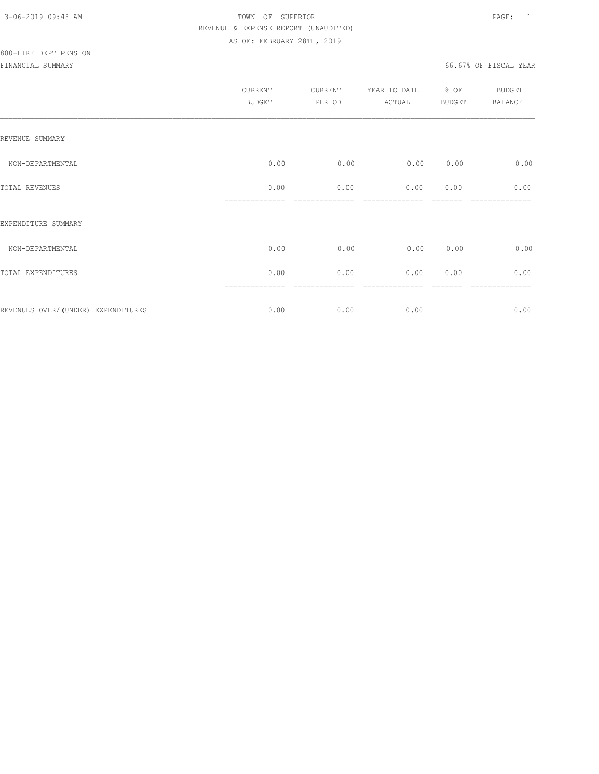|                                    | <b>CURRENT</b><br><b>BUDGET</b> | CURRENT<br>PERIOD | YEAR TO DATE<br>ACTUAL | % OF<br>BUDGET | BUDGET<br><b>BALANCE</b> |
|------------------------------------|---------------------------------|-------------------|------------------------|----------------|--------------------------|
| REVENUE SUMMARY                    |                                 |                   |                        |                |                          |
| NON-DEPARTMENTAL                   | 0.00                            | 0.00              | 0.00                   | 0.00           | 0.00                     |
| TOTAL REVENUES                     | 0.00                            | 0.00              | 0.00                   | 0.00           | 0.00                     |
| EXPENDITURE SUMMARY                |                                 |                   |                        |                |                          |
| NON-DEPARTMENTAL                   | 0.00                            | 0.00              | 0.00                   | 0.00           | 0.00                     |
| TOTAL EXPENDITURES                 | 0.00                            | 0.00              | 0.00                   | 0.00           | 0.00                     |
| REVENUES OVER/(UNDER) EXPENDITURES | 0.00                            | 0.00              | 0.00                   |                | =======<br>0.00          |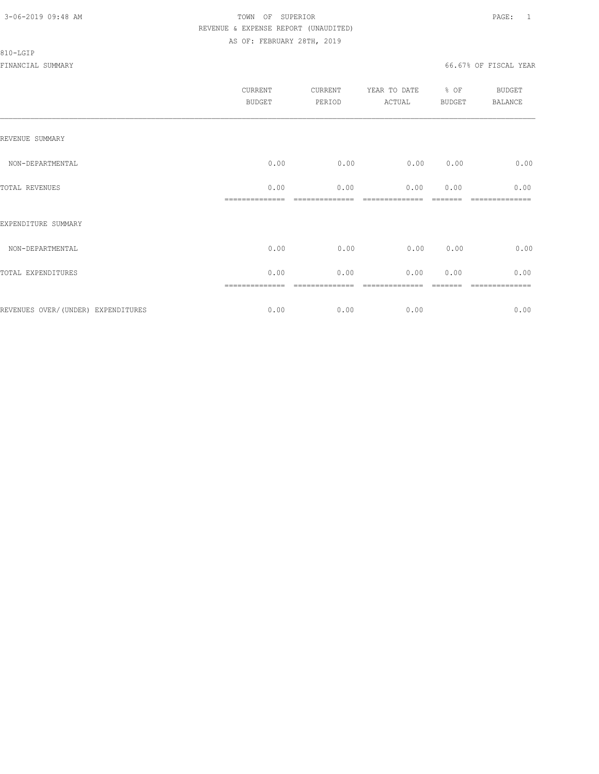#### 810-LGIP

|                                     | CURRENT<br><b>BUDGET</b> | CURRENT<br>PERIOD | YEAR TO DATE % OF<br>ACTUAL | BUDGET | <b>BUDGET</b><br>BALANCE |
|-------------------------------------|--------------------------|-------------------|-----------------------------|--------|--------------------------|
| REVENUE SUMMARY                     |                          |                   |                             |        |                          |
| NON-DEPARTMENTAL                    | 0.00                     | 0.00              | 0.00                        | 0.00   | 0.00                     |
| TOTAL REVENUES                      | 0.00                     | 0.00              | 0.00                        | 0.00   | 0.00                     |
| EXPENDITURE SUMMARY                 |                          |                   |                             |        |                          |
| NON-DEPARTMENTAL                    | 0.00                     | 0.00              | 0.00                        | 0.00   | 0.00                     |
| TOTAL EXPENDITURES                  | 0.00                     | 0.00              | 0.00                        | 0.00   | 0.00                     |
| REVENUES OVER/ (UNDER) EXPENDITURES | 0.00                     | 0.00              | 0.00                        |        | 0.00                     |
|                                     |                          |                   |                             |        |                          |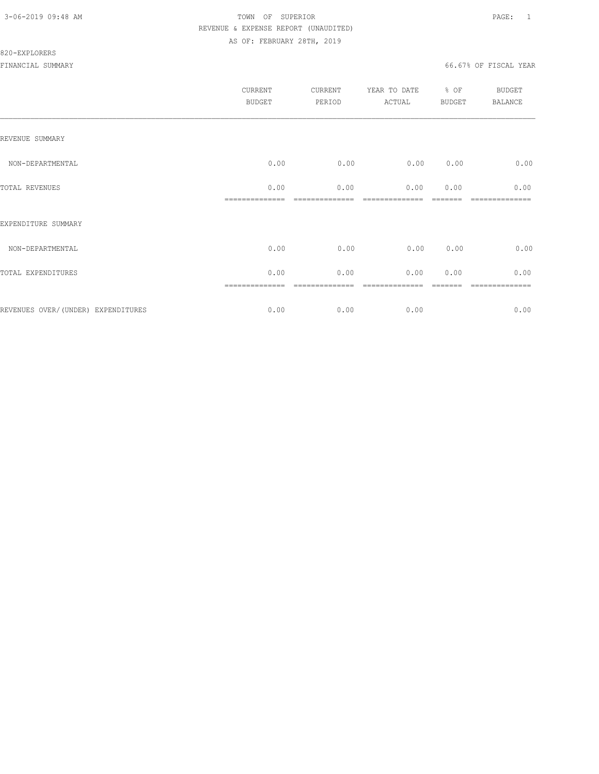### 820-EXPLORERS

|                                    | CURRENT<br><b>BUDGET</b> | CURRENT<br>PERIOD | YEAR TO DATE<br>ACTUAL | % OF<br>BUDGET | <b>BUDGET</b><br><b>BALANCE</b> |
|------------------------------------|--------------------------|-------------------|------------------------|----------------|---------------------------------|
| REVENUE SUMMARY                    |                          |                   |                        |                |                                 |
| NON-DEPARTMENTAL                   | 0.00                     | 0.00              | 0.00                   | 0.00           | 0.00                            |
| TOTAL REVENUES                     | 0.00                     | 0.00              | 0.00                   | 0.00           | 0.00                            |
| EXPENDITURE SUMMARY                |                          |                   |                        |                |                                 |
| NON-DEPARTMENTAL                   | 0.00                     | 0.00              | 0.00                   | 0.00           | 0.00                            |
| TOTAL EXPENDITURES                 | 0.00                     | 0.00              | 0.00                   | 0.00           | 0.00                            |
| REVENUES OVER/(UNDER) EXPENDITURES | ==============<br>0.00   | ========<br>0.00  | 0.00                   |                | .=======<br>0.00                |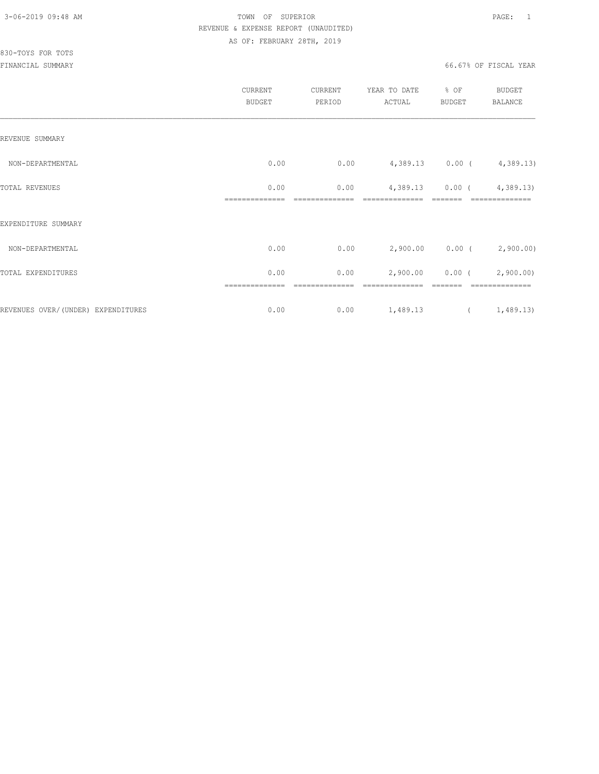# 830-TOYS FOR TOTS

|                                    | CURRENT<br><b>BUDGET</b> | CURRENT<br>PERIOD | YEAR TO DATE<br>ACTUAL | % OF<br><b>BUDGET</b> | <b>BUDGET</b><br>BALANCE       |
|------------------------------------|--------------------------|-------------------|------------------------|-----------------------|--------------------------------|
| REVENUE SUMMARY                    |                          |                   |                        |                       |                                |
| NON-DEPARTMENTAL                   | 0.00                     | 0.00              |                        |                       | $4,389.13$ 0.00 ( $4,389.13$ ) |
| TOTAL REVENUES                     | 0.00                     | 0.00              | 4,389.13               | $0.00$ (              | 4,389.13                       |
| EXPENDITURE SUMMARY                |                          |                   |                        |                       |                                |
| NON-DEPARTMENTAL                   | 0.00                     | 0.00              |                        |                       | $2,900.00$ 0.00 ( 2,900.00)    |
| TOTAL EXPENDITURES                 | 0.00                     | 0.00              | 2,900.00               | $0.00$ (              | 2,900.00)                      |
| REVENUES OVER/(UNDER) EXPENDITURES | ==============<br>0.00   | ========<br>0.00  | 1,489.13               |                       | --------------<br>(1, 489.13)  |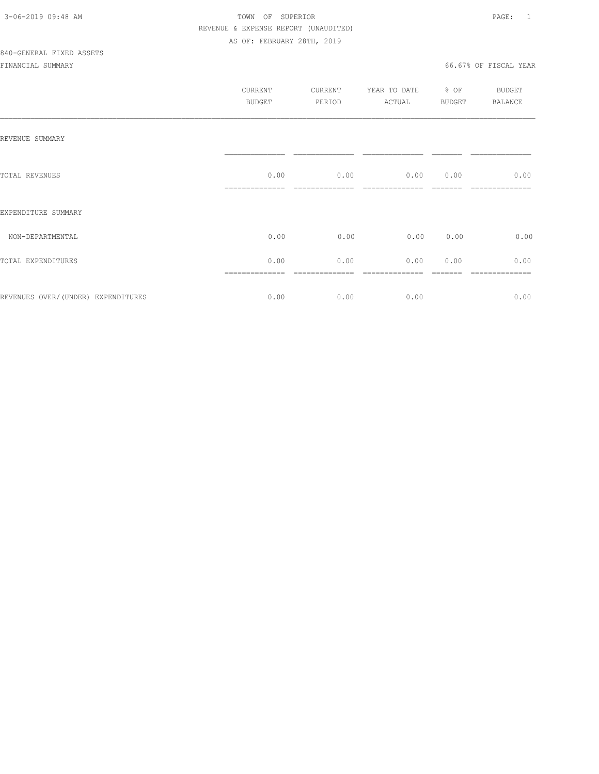|                                     | CURRENT<br><b>BUDGET</b> | CURRENT<br>PERIOD | YEAR TO DATE<br>ACTUAL | % OF<br>BUDGET | BUDGET<br><b>BALANCE</b> |
|-------------------------------------|--------------------------|-------------------|------------------------|----------------|--------------------------|
| REVENUE SUMMARY                     |                          |                   |                        |                |                          |
| TOTAL REVENUES                      | 0.00                     | 0.00              | 0.00                   | 0.00           | 0.00                     |
| EXPENDITURE SUMMARY                 |                          |                   |                        |                |                          |
| NON-DEPARTMENTAL                    | 0.00                     | 0.00              | 0.00                   | 0.00           | 0.00                     |
| TOTAL EXPENDITURES                  | 0.00                     | 0.00              | 0.00                   | 0.00           | 0.00                     |
| REVENUES OVER/ (UNDER) EXPENDITURES | 0.00                     | 0.00              | 0.00                   |                | 0.00                     |